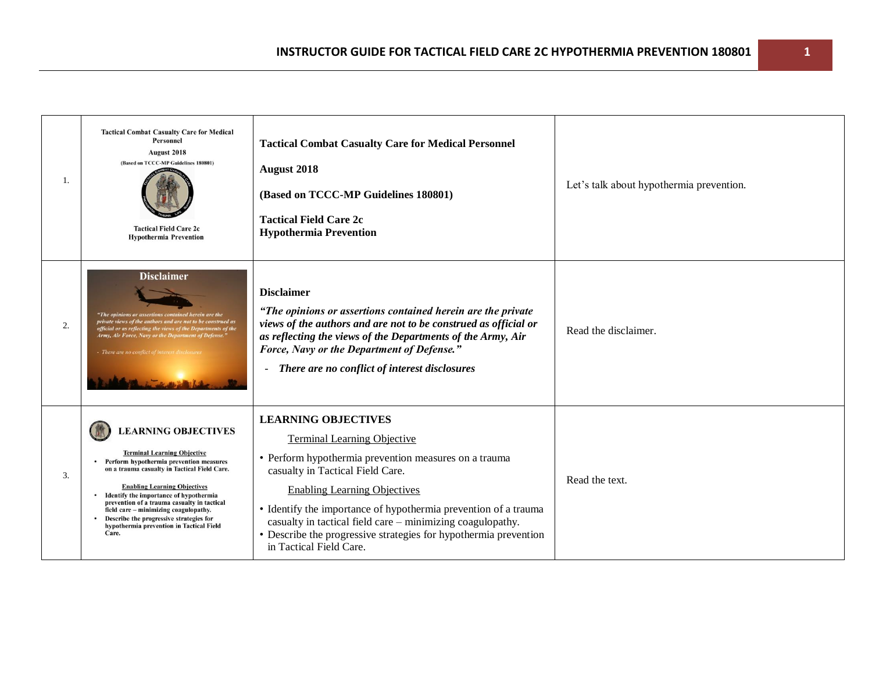| 1. | <b>Tactical Combat Casualty Care for Medical</b><br><b>Personnel</b><br>August 2018<br>(Based on TCCC-MP Guidelines 180801)<br><b>Tactical Field Care 2c</b><br><b>Hypothermia Prevention</b>                                                                                                                                                                                                                                        | <b>Tactical Combat Casualty Care for Medical Personnel</b><br>August 2018<br>(Based on TCCC-MP Guidelines 180801)<br><b>Tactical Field Care 2c</b><br><b>Hypothermia Prevention</b>                                                                                                                                                                                                                                                  | Let's talk about hypothermia prevention. |
|----|--------------------------------------------------------------------------------------------------------------------------------------------------------------------------------------------------------------------------------------------------------------------------------------------------------------------------------------------------------------------------------------------------------------------------------------|--------------------------------------------------------------------------------------------------------------------------------------------------------------------------------------------------------------------------------------------------------------------------------------------------------------------------------------------------------------------------------------------------------------------------------------|------------------------------------------|
| 2. | <b>Disclaimer</b><br>"The opinions or assertions contained herein are the<br>private views of the authors and are not to be construed as<br>official or as reflecting the views of the Departments of the<br>Army, Air Force, Navy or the Department of Defense."<br>There are no conflict of interest di                                                                                                                            | <b>Disclaimer</b><br>"The opinions or assertions contained herein are the private<br>views of the authors and are not to be construed as official or<br>as reflecting the views of the Departments of the Army, Air<br>Force, Navy or the Department of Defense."<br>There are no conflict of interest disclosures<br>$\sim$                                                                                                         | Read the disclaimer.                     |
| 3. | <b>LEARNING OBJECTIVES</b><br><b>Terminal Learning Objective</b><br>Perform hypothermia prevention measures<br>on a trauma casualty in Tactical Field Care.<br><b>Enabling Learning Objectives</b><br>Identify the importance of hypothermia<br>prevention of a trauma casualty in tactical<br>field care - minimizing coagulopathy.<br>Describe the progressive strategies for<br>hypothermia prevention in Tactical Field<br>Care. | <b>LEARNING OBJECTIVES</b><br><b>Terminal Learning Objective</b><br>• Perform hypothermia prevention measures on a trauma<br>casualty in Tactical Field Care.<br><b>Enabling Learning Objectives</b><br>• Identify the importance of hypothermia prevention of a trauma<br>casualty in tactical field care – minimizing coagulopathy.<br>• Describe the progressive strategies for hypothermia prevention<br>in Tactical Field Care. | Read the text.                           |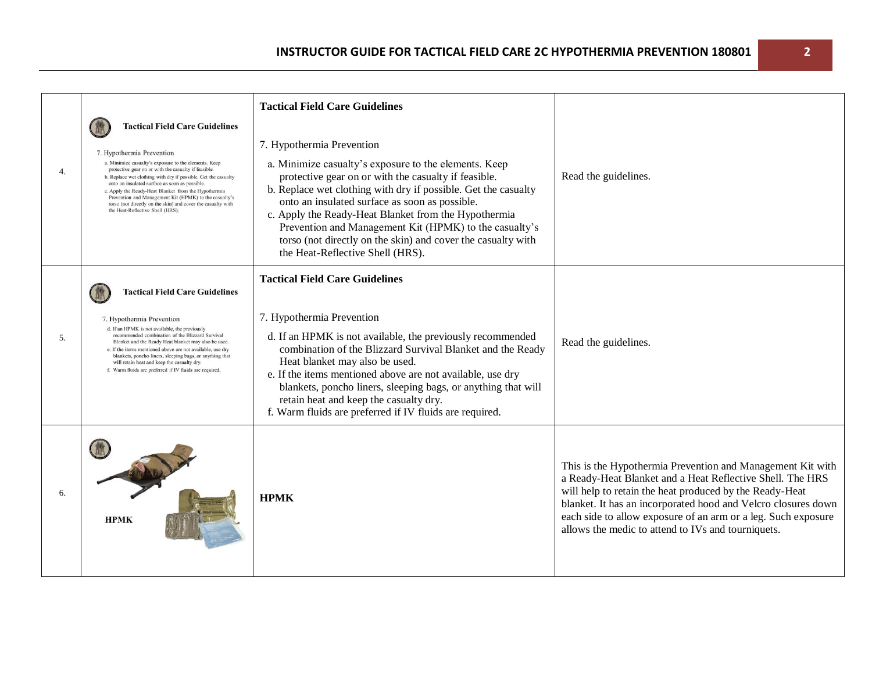| 4.  | <b>Tactical Field Care Guidelines</b><br>7. Hypothermia Prevention<br>a. Minimize casualty's exposure to the elements. Keep<br>protective gear on or with the casualty if feasible.<br>b. Replace wet clothing with dry if possible. Get the casualty<br>onto an insulated surface as soon as possible.<br>c. Apply the Ready-Heat Blanket from the Hypothermia<br>Prevention and Management Kit (HPMK) to the casualty's<br>torso (not directly on the skin) and cover the casualty with<br>the Heat-Reflective Shell (HRS). | <b>Tactical Field Care Guidelines</b><br>7. Hypothermia Prevention<br>a. Minimize casualty's exposure to the elements. Keep<br>protective gear on or with the casualty if feasible.<br>b. Replace wet clothing with dry if possible. Get the casualty<br>onto an insulated surface as soon as possible.<br>c. Apply the Ready-Heat Blanket from the Hypothermia<br>Prevention and Management Kit (HPMK) to the casualty's<br>torso (not directly on the skin) and cover the casualty with<br>the Heat-Reflective Shell (HRS). | Read the guidelines.                                                                                                                                                                                                                                                                                                                                                       |
|-----|-------------------------------------------------------------------------------------------------------------------------------------------------------------------------------------------------------------------------------------------------------------------------------------------------------------------------------------------------------------------------------------------------------------------------------------------------------------------------------------------------------------------------------|-------------------------------------------------------------------------------------------------------------------------------------------------------------------------------------------------------------------------------------------------------------------------------------------------------------------------------------------------------------------------------------------------------------------------------------------------------------------------------------------------------------------------------|----------------------------------------------------------------------------------------------------------------------------------------------------------------------------------------------------------------------------------------------------------------------------------------------------------------------------------------------------------------------------|
| .5. | <b>Tactical Field Care Guidelines</b><br>7. Hypothermia Prevention<br>d. If an HPMK is not available, the previously<br>recommended combination of the Blizzard Survival<br>Blanket and the Ready Heat blanket may also be used.<br>e. If the items mentioned above are not available, use dry<br>blankets, poncho liners, sleeping bags, or anything that<br>will retain heat and keep the casualty dry.<br>f. Warm fluids are preferred if IV fluids are required.                                                          | <b>Tactical Field Care Guidelines</b><br>7. Hypothermia Prevention<br>d. If an HPMK is not available, the previously recommended<br>combination of the Blizzard Survival Blanket and the Ready<br>Heat blanket may also be used.<br>e. If the items mentioned above are not available, use dry<br>blankets, poncho liners, sleeping bags, or anything that will<br>retain heat and keep the casualty dry.<br>f. Warm fluids are preferred if IV fluids are required.                                                          | Read the guidelines.                                                                                                                                                                                                                                                                                                                                                       |
| 6.  | <b>HPMK</b>                                                                                                                                                                                                                                                                                                                                                                                                                                                                                                                   | <b>HPMK</b>                                                                                                                                                                                                                                                                                                                                                                                                                                                                                                                   | This is the Hypothermia Prevention and Management Kit with<br>a Ready-Heat Blanket and a Heat Reflective Shell. The HRS<br>will help to retain the heat produced by the Ready-Heat<br>blanket. It has an incorporated hood and Velcro closures down<br>each side to allow exposure of an arm or a leg. Such exposure<br>allows the medic to attend to IVs and tourniquets. |